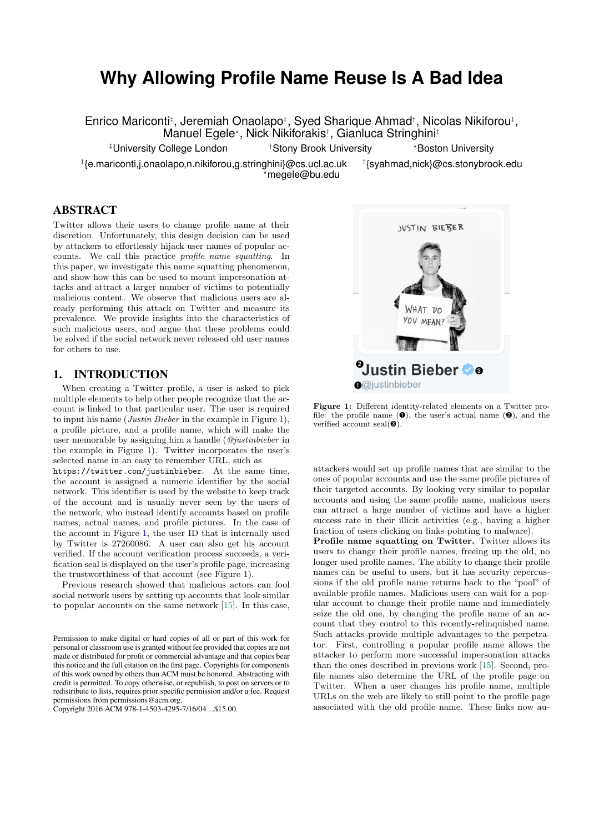# **Why Allowing Profile Name Reuse Is A Bad Idea**

Enrico Mariconti‡, Jeremiah Onaolapo‡, Syed Sharique Ahmad†, Nicolas Nikiforou‡, Manuel Egele? , Nick Nikiforakis† , Gianluca Stringhini‡

#University College London The Totony Brook University the Muslim \*Boston University

 $^{\ddagger}$ {e.mariconti,j.onaolapo,n.nikiforou,g.stringhini}@cs.ucl.ac.uk  $^{\phantom{\dagger}}$ {syahmad,nick}@cs.stonybrook.edu ?megele@bu.edu

# ABSTRACT

Twitter allows their users to change profile name at their discretion. Unfortunately, this design decision can be used by attackers to effortlessly hijack user names of popular accounts. We call this practice profile name squatting. In this paper, we investigate this name squatting phenomenon. and show how this can be used to mount impersonation attacks and attract a larger number of victims to potentially malicious content. We observe that malicious users are already performing this attack on Twitter and measure its prevalence. We provide insights into the characteristics of such malicious users, and argue that these problems could be solved if the social network never released old user names for others to use.

### 1. INTRODUCTION

When creating a Twitter profile, a user is asked to pick multiple elements to help other people recognize that the account is linked to that particular user. The user is required to input his name (*Justin Bieber* in the example in Figure [1\)](#page-0-0), a profile picture, and a profile name, which will make the user memorable by assigning him a handle (@justinbieber in the example in Figure [1\)](#page-0-0). Twitter incorporates the user's selected name in an easy to remember URL, such as

https://twitter.com/justinbieber. At the same time, the account is assigned a numeric identifier by the social network. This identifier is used by the website to keep track of the account and is usually never seen by the users of the network, who instead identify accounts based on profile names, actual names, and profile pictures. In the case of the account in Figure [1,](#page-0-0) the user ID that is internally used by Twitter is 27260086. A user can also get his account verified. If the account verification process succeeds, a verification seal is displayed on the user's profile page, increasing the trustworthiness of that account (see Figure [1\)](#page-0-0).

Previous research showed that malicious actors can fool social network users by setting up accounts that look similar to popular accounts on the same network [\[15\]](#page-4-0). In this case,

<span id="page-0-0"></span>

Figure 1: Different identity-related elements on a Twitter profile: the profile name  $(①)$ , the user's actual name  $(②)$ , and the verified account seal $(⑤)$ .

attackers would set up profile names that are similar to the ones of popular accounts and use the same profile pictures of their targeted accounts. By looking very similar to popular accounts and using the same profile name, malicious users can attract a large number of victims and have a higher success rate in their illicit activities (e.g., having a higher fraction of users clicking on links pointing to malware).

Profile name squatting on Twitter. Twitter allows its users to change their profile names, freeing up the old, no longer used profile names. The ability to change their profile names can be useful to users, but it has security repercussions if the old profile name returns back to the "pool" of available profile names. Malicious users can wait for a popular account to change their profile name and immediately seize the old one, by changing the profile name of an account that they control to this recently-relinquished name. Such attacks provide multiple advantages to the perpetrator. First, controlling a popular profile name allows the attacker to perform more successful impersonation attacks than the ones described in previous work [\[15\]](#page-4-0). Second, profile names also determine the URL of the profile page on Twitter. When a user changes his profile name, multiple URLs on the web are likely to still point to the profile page associated with the old profile name. These links now au-

Permission to make digital or hard copies of all or part of this work for personal or classroom use is granted without fee provided that copies are not made or distributed for profit or commercial advantage and that copies bear this notice and the full citation on the first page. Copyrights for components of this work owned by others than ACM must be honored. Abstracting with credit is permitted. To copy otherwise, or republish, to post on servers or to redistribute to lists, requires prior specific permission and/or a fee. Request permissions from permissions@acm.org.

Copyright 2016 ACM 978-1-4503-4295-7/16/04 ...\$15.00.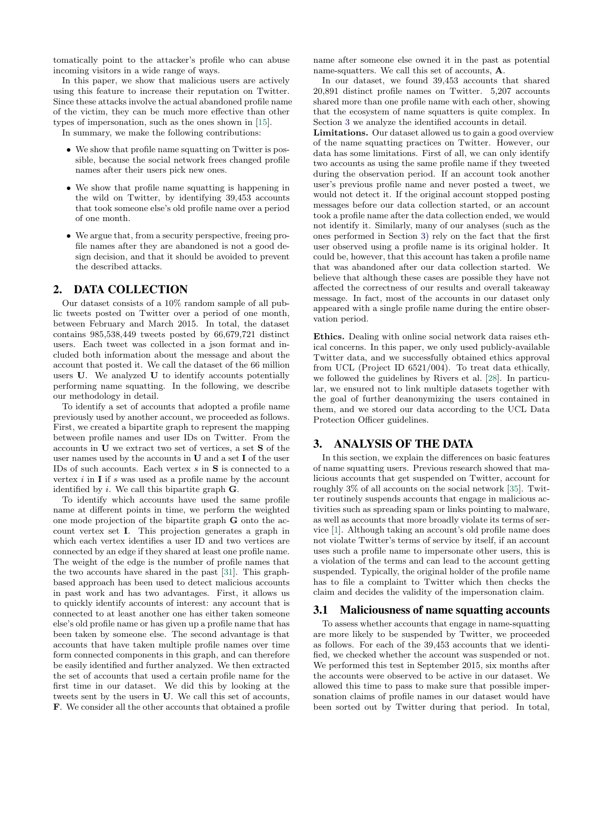tomatically point to the attacker's profile who can abuse incoming visitors in a wide range of ways.

In this paper, we show that malicious users are actively using this feature to increase their reputation on Twitter. Since these attacks involve the actual abandoned profile name of the victim, they can be much more effective than other types of impersonation, such as the ones shown in [\[15\]](#page-4-0).

In summary, we make the following contributions:

- We show that profile name squatting on Twitter is possible, because the social network frees changed profile names after their users pick new ones.
- We show that profile name squatting is happening in the wild on Twitter, by identifying 39,453 accounts that took someone else's old profile name over a period of one month.
- We argue that, from a security perspective, freeing profile names after they are abandoned is not a good design decision, and that it should be avoided to prevent the described attacks.

## <span id="page-1-1"></span>2. DATA COLLECTION

Our dataset consists of a 10% random sample of all public tweets posted on Twitter over a period of one month, between February and March 2015. In total, the dataset contains 985,538,449 tweets posted by 66,679,721 distinct users. Each tweet was collected in a json format and included both information about the message and about the account that posted it. We call the dataset of the 66 million users U. We analyzed U to identify accounts potentially performing name squatting. In the following, we describe our methodology in detail.

To identify a set of accounts that adopted a profile name previously used by another account, we proceeded as follows. First, we created a bipartite graph to represent the mapping between profile names and user IDs on Twitter. From the accounts in U we extract two set of vertices, a set S of the user names used by the accounts in U and a set I of the user IDs of such accounts. Each vertex  $s$  in  $S$  is connected to a vertex  $i$  in  $I$  if  $s$  was used as a profile name by the account identified by  $i$ . We call this bipartite graph  $G$ .

To identify which accounts have used the same profile name at different points in time, we perform the weighted one mode projection of the bipartite graph G onto the account vertex set I. This projection generates a graph in which each vertex identifies a user ID and two vertices are connected by an edge if they shared at least one profile name. The weight of the edge is the number of profile names that the two accounts have shared in the past [\[31\]](#page-5-0). This graphbased approach has been used to detect malicious accounts in past work and has two advantages. First, it allows us to quickly identify accounts of interest: any account that is connected to at least another one has either taken someone else's old profile name or has given up a profile name that has been taken by someone else. The second advantage is that accounts that have taken multiple profile names over time form connected components in this graph, and can therefore be easily identified and further analyzed. We then extracted the set of accounts that used a certain profile name for the first time in our dataset. We did this by looking at the tweets sent by the users in U. We call this set of accounts, F. We consider all the other accounts that obtained a profile

name after someone else owned it in the past as potential name-squatters. We call this set of accounts, A.

In our dataset, we found 39,453 accounts that shared 20,891 distinct profile names on Twitter. 5,207 accounts shared more than one profile name with each other, showing that the ecosystem of name squatters is quite complex. In Section [3](#page-1-0) we analyze the identified accounts in detail.

Limitations. Our dataset allowed us to gain a good overview of the name squatting practices on Twitter. However, our data has some limitations. First of all, we can only identify two accounts as using the same profile name if they tweeted during the observation period. If an account took another user's previous profile name and never posted a tweet, we would not detect it. If the original account stopped posting messages before our data collection started, or an account took a profile name after the data collection ended, we would not identify it. Similarly, many of our analyses (such as the ones performed in Section [3\)](#page-1-0) rely on the fact that the first user observed using a profile name is its original holder. It could be, however, that this account has taken a profile name that was abandoned after our data collection started. We believe that although these cases are possible they have not affected the correctness of our results and overall takeaway message. In fact, most of the accounts in our dataset only appeared with a single profile name during the entire observation period.

Ethics. Dealing with online social network data raises ethical concerns. In this paper, we only used publicly-available Twitter data, and we successfully obtained ethics approval from UCL (Project ID 6521/004). To treat data ethically, we followed the guidelines by Rivers et al. [\[28\]](#page-5-1). In particular, we ensured not to link multiple datasets together with the goal of further deanonymizing the users contained in them, and we stored our data according to the UCL Data Protection Officer guidelines.

# <span id="page-1-0"></span>3. ANALYSIS OF THE DATA

In this section, we explain the differences on basic features of name squatting users. Previous research showed that malicious accounts that get suspended on Twitter, account for roughly 3% of all accounts on the social network [\[35\]](#page-5-2). Twitter routinely suspends accounts that engage in malicious activities such as spreading spam or links pointing to malware, as well as accounts that more broadly violate its terms of service [\[1\]](#page-4-1). Although taking an account's old profile name does not violate Twitter's terms of service by itself, if an account uses such a profile name to impersonate other users, this is a violation of the terms and can lead to the account getting suspended. Typically, the original holder of the profile name has to file a complaint to Twitter which then checks the claim and decides the validity of the impersonation claim.

#### 3.1 Maliciousness of name squatting accounts

To assess whether accounts that engage in name-squatting are more likely to be suspended by Twitter, we proceeded as follows. For each of the 39,453 accounts that we identified, we checked whether the account was suspended or not. We performed this test in September 2015, six months after the accounts were observed to be active in our dataset. We allowed this time to pass to make sure that possible impersonation claims of profile names in our dataset would have been sorted out by Twitter during that period. In total,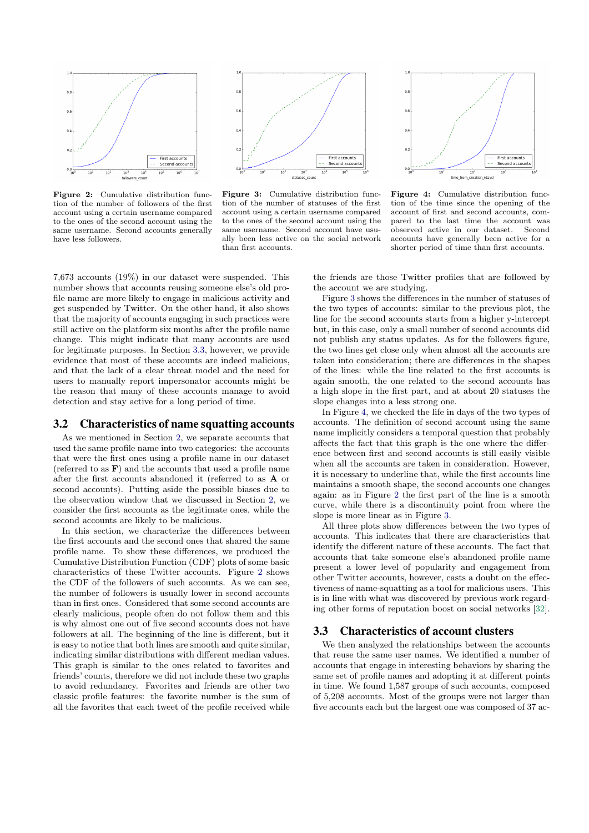<span id="page-2-1"></span>

Figure 2: Cumulative distribution function of the number of followers of the first account using a certain username compared to the ones of the second account using the same username. Second accounts generally have less followers.



Figure 3: Cumulative distribution function of the number of statuses of the first account using a certain username compared to the ones of the second account using the same username. Second account have usually been less active on the social network than first accounts.



Figure 4: Cumulative distribution function of the time since the opening of the account of first and second accounts, compared to the last time the account was observed active in our dataset. Second accounts have generally been active for a shorter period of time than first accounts.

7,673 accounts (19%) in our dataset were suspended. This number shows that accounts reusing someone else's old profile name are more likely to engage in malicious activity and get suspended by Twitter. On the other hand, it also shows that the majority of accounts engaging in such practices were still active on the platform six months after the profile name change. This might indicate that many accounts are used for legitimate purposes. In Section [3.3,](#page-2-0) however, we provide evidence that most of these accounts are indeed malicious, and that the lack of a clear threat model and the need for users to manually report impersonator accounts might be the reason that many of these accounts manage to avoid detection and stay active for a long period of time.

#### 3.2 Characteristics of name squatting accounts

As we mentioned in Section [2,](#page-1-1) we separate accounts that used the same profile name into two categories: the accounts that were the first ones using a profile name in our dataset (referred to as  $\bf{F}$ ) and the accounts that used a profile name after the first accounts abandoned it (referred to as A or second accounts). Putting aside the possible biases due to the observation window that we discussed in Section [2,](#page-1-1) we consider the first accounts as the legitimate ones, while the second accounts are likely to be malicious.

In this section, we characterize the differences between the first accounts and the second ones that shared the same profile name. To show these differences, we produced the Cumulative Distribution Function (CDF) plots of some basic characteristics of these Twitter accounts. Figure [2](#page-2-1) shows the CDF of the followers of such accounts. As we can see, the number of followers is usually lower in second accounts than in first ones. Considered that some second accounts are clearly malicious, people often do not follow them and this is why almost one out of five second accounts does not have followers at all. The beginning of the line is different, but it is easy to notice that both lines are smooth and quite similar, indicating similar distributions with different median values. This graph is similar to the ones related to favorites and friends' counts, therefore we did not include these two graphs to avoid redundancy. Favorites and friends are other two classic profile features: the favorite number is the sum of all the favorites that each tweet of the profile received while the friends are those Twitter profiles that are followed by the account we are studying.

Figure [3](#page-2-1) shows the differences in the number of statuses of the two types of accounts: similar to the previous plot, the line for the second accounts starts from a higher y-intercept but, in this case, only a small number of second accounts did not publish any status updates. As for the followers figure, the two lines get close only when almost all the accounts are taken into consideration; there are differences in the shapes of the lines: while the line related to the first accounts is again smooth, the one related to the second accounts has a high slope in the first part, and at about 20 statuses the slope changes into a less strong one.

In Figure [4,](#page-2-1) we checked the life in days of the two types of accounts. The definition of second account using the same name implicitly considers a temporal question that probably affects the fact that this graph is the one where the difference between first and second accounts is still easily visible when all the accounts are taken in consideration. However, it is necessary to underline that, while the first accounts line maintains a smooth shape, the second accounts one changes again: as in Figure [2](#page-2-1) the first part of the line is a smooth curve, while there is a discontinuity point from where the slope is more linear as in Figure [3.](#page-2-1)

All three plots show differences between the two types of accounts. This indicates that there are characteristics that identify the different nature of these accounts. The fact that accounts that take someone else's abandoned profile name present a lower level of popularity and engagement from other Twitter accounts, however, casts a doubt on the effectiveness of name-squatting as a tool for malicious users. This is in line with what was discovered by previous work regarding other forms of reputation boost on social networks [\[32\]](#page-5-3).

### <span id="page-2-0"></span>3.3 Characteristics of account clusters

We then analyzed the relationships between the accounts that reuse the same user names. We identified a number of accounts that engage in interesting behaviors by sharing the same set of profile names and adopting it at different points in time. We found 1,587 groups of such accounts, composed of 5,208 accounts. Most of the groups were not larger than five accounts each but the largest one was composed of 37 ac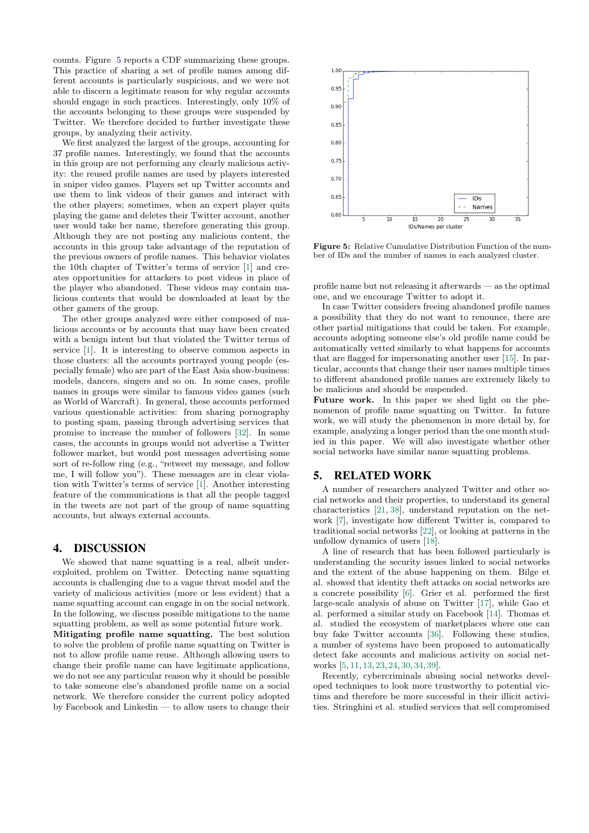counts. Figure [5](#page-3-0) reports a CDF summarizing these groups. This practice of sharing a set of profile names among different accounts is particularly suspicious, and we were not able to discern a legitimate reason for why regular accounts should engage in such practices. Interestingly, only 10% of the accounts belonging to these groups were suspended by Twitter. We therefore decided to further investigate these groups, by analyzing their activity.

We first analyzed the largest of the groups, accounting for 37 profile names. Interestingly, we found that the accounts in this group are not performing any clearly malicious activity: the reused profile names are used by players interested in sniper video games. Players set up Twitter accounts and use them to link videos of their games and interact with the other players; sometimes, when an expert player quits playing the game and deletes their Twitter account, another user would take her name, therefore generating this group. Although they are not posting any malicious content, the accounts in this group take advantage of the reputation of the previous owners of profile names. This behavior violates the 10th chapter of Twitter's terms of service [\[1\]](#page-4-1) and creates opportunities for attackers to post videos in place of the player who abandoned. These videos may contain malicious contents that would be downloaded at least by the other gamers of the group.

The other groups analyzed were either composed of malicious accounts or by accounts that may have been created with a benign intent but that violated the Twitter terms of service [\[1\]](#page-4-1). It is interesting to observe common aspects in those clusters: all the accounts portrayed young people (especially female) who are part of the East Asia show-business: models, dancers, singers and so on. In some cases, profile names in groups were similar to famous video games (such as World of Warcraft). In general, these accounts performed various questionable activities: from sharing pornography to posting spam, passing through advertising services that promise to increase the number of followers [\[32\]](#page-5-3). In some cases, the accounts in groups would not advertise a Twitter follower market, but would post messages advertising some sort of re-follow ring (e.g., "retweet my message, and follow me, I will follow you"). These messages are in clear violation with Twitter's terms of service [\[1\]](#page-4-1). Another interesting feature of the communications is that all the people tagged in the tweets are not part of the group of name squatting accounts, but always external accounts.

# 4. DISCUSSION

We showed that name squatting is a real, albeit underexploited, problem on Twitter. Detecting name squatting accounts is challenging due to a vague threat model and the variety of malicious activities (more or less evident) that a name squatting account can engage in on the social network. In the following, we discuss possible mitigations to the name squatting problem, as well as some potential future work.

Mitigating profile name squatting. The best solution to solve the problem of profile name squatting on Twitter is not to allow profile name reuse. Although allowing users to change their profile name can have legitimate applications, we do not see any particular reason why it should be possible to take someone else's abandoned profile name on a social network. We therefore consider the current policy adopted by Facebook and Linkedin — to allow users to change their

<span id="page-3-0"></span>

Figure 5: Relative Cumulative Distribution Function of the number of IDs and the number of names in each analyzed cluster.

profile name but not releasing it afterwards — as the optimal one, and we encourage Twitter to adopt it.

In case Twitter considers freeing abandoned profile names a possibility that they do not want to renounce, there are other partial mitigations that could be taken. For example, accounts adopting someone else's old profile name could be automatically vetted similarly to what happens for accounts that are flagged for impersonating another user [\[15\]](#page-4-0). In particular, accounts that change their user names multiple times to different abandoned profile names are extremely likely to be malicious and should be suspended.

Future work. In this paper we shed light on the phenomenon of profile name squatting on Twitter. In future work, we will study the phenomenon in more detail by, for example, analyzing a longer period than the one month studied in this paper. We will also investigate whether other social networks have similar name squatting problems.

# 5. RELATED WORK

A number of researchers analyzed Twitter and other social networks and their properties, to understand its general characteristics [\[21,](#page-5-4) [38\]](#page-5-5), understand reputation on the network [\[7\]](#page-4-2), investigate how different Twitter is, compared to traditional social networks [\[22\]](#page-5-6), or looking at patterns in the unfollow dynamics of users [\[18\]](#page-5-7).

A line of research that has been followed particularly is understanding the security issues linked to social networks and the extent of the abuse happening on them. Bilge et al. showed that identity theft attacks on social networks are a concrete possibility [\[6\]](#page-4-3). Grier et al. performed the first large-scale analysis of abuse on Twitter [\[17\]](#page-5-8), while Gao et al. performed a similar study on Facebook [\[14\]](#page-4-4). Thomas et al. studied the ecosystem of marketplaces where one can buy fake Twitter accounts [\[36\]](#page-5-9). Following these studies, a number of systems have been proposed to automatically detect fake accounts and malicious activity on social networks [\[5,](#page-4-5) [11,](#page-4-6) [13,](#page-4-7) [23,](#page-5-10) [24,](#page-5-11) [30,](#page-5-12) [34,](#page-5-13) [39\]](#page-5-14).

Recently, cybercriminals abusing social networks developed techniques to look more trustworthy to potential victims and therefore be more successful in their illicit activities. Stringhini et al. studied services that sell compromised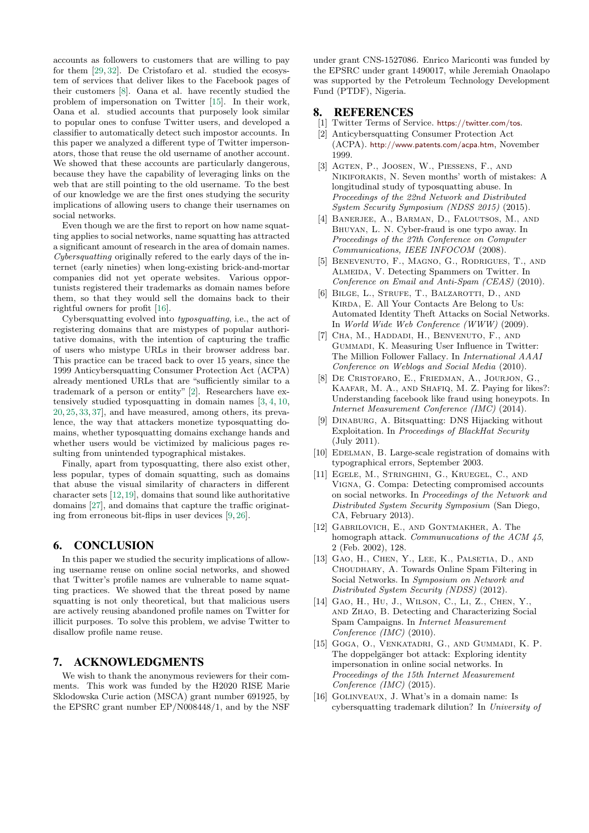accounts as followers to customers that are willing to pay for them [\[29,](#page-5-15) [32\]](#page-5-3). De Cristofaro et al. studied the ecosystem of services that deliver likes to the Facebook pages of their customers [\[8\]](#page-4-8). Oana et al. have recently studied the problem of impersonation on Twitter [\[15\]](#page-4-0). In their work, Oana et al. studied accounts that purposely look similar to popular ones to confuse Twitter users, and developed a classifier to automatically detect such impostor accounts. In this paper we analyzed a different type of Twitter impersonators, those that reuse the old username of another account. We showed that these accounts are particularly dangerous, because they have the capability of leveraging links on the web that are still pointing to the old username. To the best of our knowledge we are the first ones studying the security implications of allowing users to change their usernames on social networks.

Even though we are the first to report on how name squatting applies to social networks, name squatting has attracted a significant amount of research in the area of domain names. Cybersquatting originally refered to the early days of the internet (early nineties) when long-existing brick-and-mortar companies did not yet operate websites. Various opportunists registered their trademarks as domain names before them, so that they would sell the domains back to their rightful owners for profit [\[16\]](#page-4-9).

Cybersquatting evolved into typosquatting, i.e., the act of registering domains that are mistypes of popular authoritative domains, with the intention of capturing the traffic of users who mistype URLs in their browser address bar. This practice can be traced back to over 15 years, since the 1999 Anticybersquatting Consumer Protection Act (ACPA) already mentioned URLs that are "sufficiently similar to a trademark of a person or entity" [\[2\]](#page-4-10). Researchers have extensively studied typosquatting in domain names [\[3,](#page-4-11) [4,](#page-4-12) [10,](#page-4-13) [20,](#page-5-16) [25,](#page-5-17) [33,](#page-5-18) [37\]](#page-5-19), and have measured, among others, its prevalence, the way that attackers monetize typosquatting domains, whether typosquatting domains exchange hands and whether users would be victimized by malicious pages resulting from unintended typographical mistakes.

Finally, apart from typosquatting, there also exist other, less popular, types of domain squatting, such as domains that abuse the visual similarity of characters in different character sets [\[12,](#page-4-14)[19\]](#page-5-20), domains that sound like authoritative domains [\[27\]](#page-5-21), and domains that capture the traffic originating from erroneous bit-flips in user devices [\[9,](#page-4-15) [26\]](#page-5-22).

# 6. CONCLUSION

In this paper we studied the security implications of allowing username reuse on online social networks, and showed that Twitter's profile names are vulnerable to name squatting practices. We showed that the threat posed by name squatting is not only theoretical, but that malicious users are actively reusing abandoned profile names on Twitter for illicit purposes. To solve this problem, we advise Twitter to disallow profile name reuse.

# 7. ACKNOWLEDGMENTS

We wish to thank the anonymous reviewers for their comments. This work was funded by the H2020 RISE Marie Sklodowska Curie action (MSCA) grant number 691925, by the EPSRC grant number EP/N008448/1, and by the NSF

under grant CNS-1527086. Enrico Mariconti was funded by the EPSRC under grant 1490017, while Jeremiah Onaolapo was supported by the Petroleum Technology Development Fund (PTDF), Nigeria.

#### 8. REFERENCES

- <span id="page-4-1"></span>[1] Twitter Terms of Service. <https://twitter.com/tos>.
- <span id="page-4-10"></span>[2] Anticybersquatting Consumer Protection Act (ACPA). <http://www.patents.com/acpa.htm>, November 1999.
- <span id="page-4-11"></span>[3] Agten, P., Joosen, W., Piessens, F., and Nikiforakis, N. Seven months' worth of mistakes: A longitudinal study of typosquatting abuse. In Proceedings of the 22nd Network and Distributed System Security Symposium (NDSS 2015) (2015).
- <span id="page-4-12"></span>[4] Banerjee, A., Barman, D., Faloutsos, M., and Bhuyan, L. N. Cyber-fraud is one typo away. In Proceedings of the 27th Conference on Computer Communications, IEEE INFOCOM (2008).
- <span id="page-4-5"></span>[5] Benevenuto, F., Magno, G., Rodrigues, T., and Almeida, V. Detecting Spammers on Twitter. In Conference on Email and Anti-Spam (CEAS) (2010).
- <span id="page-4-3"></span>[6] BILGE, L., STRUFE, T., BALZAROTTI, D., AND Kirda, E. All Your Contacts Are Belong to Us: Automated Identity Theft Attacks on Social Networks. In World Wide Web Conference (WWW) (2009).
- <span id="page-4-2"></span>[7] Cha, M., Haddadi, H., Benvenuto, F., and Gummadi, K. Measuring User Influence in Twitter: The Million Follower Fallacy. In International AAAI Conference on Weblogs and Social Media (2010).
- <span id="page-4-8"></span>[8] De Cristofaro, E., Friedman, A., Jourjon, G., Kaafar, M. A., and Shafiq, M. Z. Paying for likes?: Understanding facebook like fraud using honeypots. In Internet Measurement Conference (IMC) (2014).
- <span id="page-4-15"></span>[9] Dinaburg, A. Bitsquatting: DNS Hijacking without Exploitation. In Proceedings of BlackHat Security (July 2011).
- <span id="page-4-13"></span>[10] EDELMAN, B. Large-scale registration of domains with typographical errors, September 2003.
- <span id="page-4-6"></span>[11] Egele, M., Stringhini, G., Kruegel, C., and Vigna, G. Compa: Detecting compromised accounts on social networks. In Proceedings of the Network and Distributed System Security Symposium (San Diego, CA, February 2013).
- <span id="page-4-14"></span>[12] Gabrilovich, E., and Gontmakher, A. The homograph attack. Communucations of the ACM 45, 2 (Feb. 2002), 128.
- <span id="page-4-7"></span>[13] Gao, H., Chen, Y., Lee, K., Palsetia, D., and Choudhary, A. Towards Online Spam Filtering in Social Networks. In Symposium on Network and Distributed System Security (NDSS) (2012).
- <span id="page-4-4"></span>[14] Gao, H., Hu, J., Wilson, C., Li, Z., Chen, Y., and Zhao, B. Detecting and Characterizing Social Spam Campaigns. In Internet Measurement Conference (IMC) (2010).
- <span id="page-4-0"></span>[15] Goga, O., Venkatadri, G., and Gummadi, K. P. The doppelgänger bot attack: Exploring identity impersonation in online social networks. In Proceedings of the 15th Internet Measurement Conference (IMC) (2015).
- <span id="page-4-9"></span>[16] GOLINVEAUX, J. What's in a domain name: Is cybersquatting trademark dilution? In University of